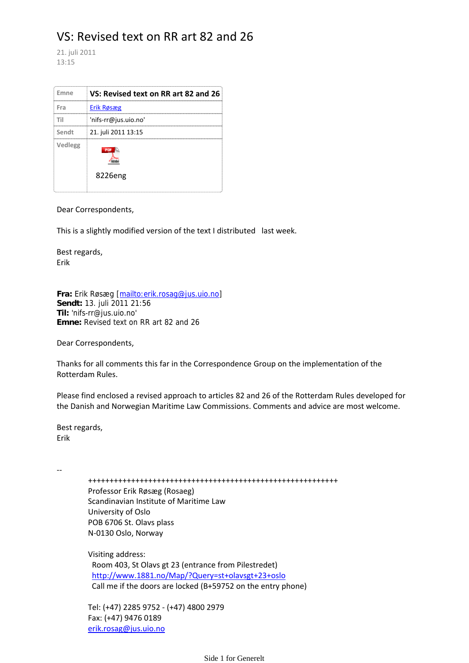# VS: Revised text on RR art 82 and 26

21. juli 2011 13:15

| Emne    | VS: Revised text on RR art 82 and 26 |
|---------|--------------------------------------|
| Fra     | Erik Røsæg                           |
| Τi      | 'nifs-rr@jus.uio.no'                 |
| Sendt   | 21. juli 2011 13:15                  |
| Vedlegg |                                      |
|         | 8226eng                              |

Dear Correspondents,

This is a slightly modified version of the text I distributed last week.

Best regards, Erik

**Fra:** Erik Røsæg [mailto:erik.rosag@jus.uio.no] **Sendt:** 13. juli 2011 21:56 **Til:** 'nifs‐rr@jus.uio.no' **Emne:** Revised text on RR art 82 and 26

Dear Correspondents,

Thanks for all comments this far in the Correspondence Group on the implementation of the Rotterdam Rules.

Please find enclosed a revised approach to articles 82 and 26 of the Rotterdam Rules developed for the Danish and Norwegian Maritime Law Commissions. Comments and advice are most welcome.

Best regards, Erik

‐‐

++++++++++++++++++++++++++++++++++++++++++++++++++++++++++

 Professor Erik Røsæg (Rosaeg) Scandinavian Institute of Maritime Law University of Oslo POB 6706 St. Olavs plass N‐0130 Oslo, Norway

 Visiting address: Room 403, St Olavs gt 23 (entrance from Pilestredet) http://www.1881.no/Map/?Query=st+olavsgt+23+oslo Call me if the doors are locked (B+59752 on the entry phone)

 Tel: (+47) 2285 9752 ‐ (+47) 4800 2979 Fax: (+47) 9476 0189 erik.rosag@jus.uio.no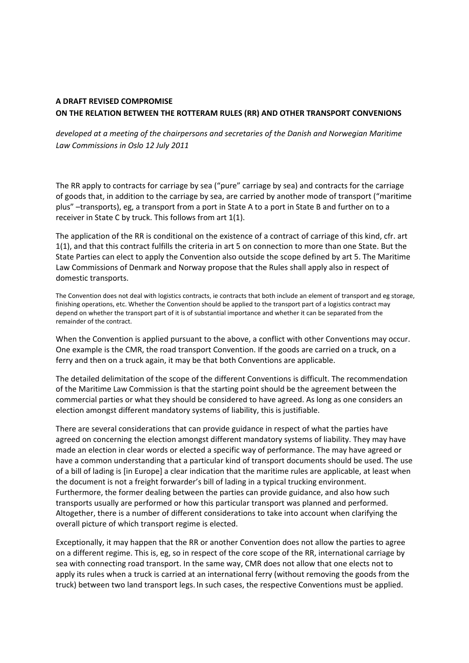## **A DRAFT REVISED COMPROMISE ON THE RELATION BETWEEN THE ROTTERAM RULES (RR) AND OTHER TRANSPORT CONVENIONS**

## *developed at a meeting of the chairpersons and secretaries of the Danish and Norwegian Maritime Law Commissions in Oslo 12 July 2011*

The RR apply to contracts for carriage by sea ("pure" carriage by sea) and contracts for the carriage of goods that, in addition to the carriage by sea, are carried by another mode of transport ("maritime plus" –transports), eg, a transport from a port in State A to a port in State B and further on to a receiver in State C by truck. This follows from art 1(1).

The application of the RR is conditional on the existence of a contract of carriage of this kind, cfr. art 1(1), and that this contract fulfills the criteria in art 5 on connection to more than one State. But the State Parties can elect to apply the Convention also outside the scope defined by art 5. The Maritime Law Commissions of Denmark and Norway propose that the Rules shall apply also in respect of domestic transports.

The Convention does not deal with logistics contracts, ie contracts that both include an element of transport and eg storage, finishing operations, etc. Whether the Convention should be applied to the transport part of a logistics contract may depend on whether the transport part of it is of substantial importance and whether it can be separated from the remainder of the contract.

When the Convention is applied pursuant to the above, a conflict with other Conventions may occur. One example is the CMR, the road transport Convention. If the goods are carried on a truck, on a ferry and then on a truck again, it may be that both Conventions are applicable.

The detailed delimitation of the scope of the different Conventions is difficult. The recommendation of the Maritime Law Commission is that the starting point should be the agreement between the commercial parties or what they should be considered to have agreed. As long as one considers an election amongst different mandatory systems of liability, this is justifiable.

There are several considerations that can provide guidance in respect of what the parties have agreed on concerning the election amongst different mandatory systems of liability. They may have made an election in clear words or elected a specific way of performance. The may have agreed or have a common understanding that a particular kind of transport documents should be used. The use of a bill of lading is [in Europe] a clear indication that the maritime rules are applicable, at least when the document is not a freight forwarder's bill of lading in a typical trucking environment. Furthermore, the former dealing between the parties can provide guidance, and also how such transports usually are performed or how this particular transport was planned and performed. Altogether, there is a number of different considerations to take into account when clarifying the overall picture of which transport regime is elected.

Exceptionally, it may happen that the RR or another Convention does not allow the parties to agree on a different regime. This is, eg, so in respect of the core scope of the RR, international carriage by sea with connecting road transport. In the same way, CMR does not allow that one elects not to apply its rules when a truck is carried at an international ferry (without removing the goods from the truck) between two land transport legs. In such cases, the respective Conventions must be applied.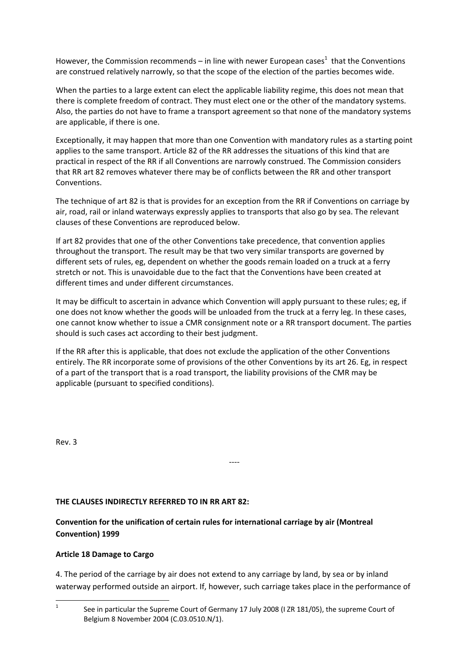However, the Commission recommends – in line with newer European cases<sup>1</sup> that the Conventions are construed relatively narrowly, so that the scope of the election of the parties becomes wide.

When the parties to a large extent can elect the applicable liability regime, this does not mean that there is complete freedom of contract. They must elect one or the other of the mandatory systems. Also, the parties do not have to frame a transport agreement so that none of the mandatory systems are applicable, if there is one.

Exceptionally, it may happen that more than one Convention with mandatory rules as a starting point applies to the same transport. Article 82 of the RR addresses the situations of this kind that are practical in respect of the RR if all Conventions are narrowly construed. The Commission considers that RR art 82 removes whatever there may be of conflicts between the RR and other transport Conventions.

The technique of art 82 is that is provides for an exception from the RR if Conventions on carriage by air, road, rail or inland waterways expressly applies to transports that also go by sea. The relevant clauses of these Conventions are reproduced below.

If art 82 provides that one of the other Conventions take precedence, that convention applies throughout the transport. The result may be that two very similar transports are governed by different sets of rules, eg, dependent on whether the goods remain loaded on a truck at a ferry stretch or not. This is unavoidable due to the fact that the Conventions have been created at different times and under different circumstances.

It may be difficult to ascertain in advance which Convention will apply pursuant to these rules; eg, if one does not know whether the goods will be unloaded from the truck at a ferry leg. In these cases, one cannot know whether to issue a CMR consignment note or a RR transport document. The parties should is such cases act according to their best judgment.

If the RR after this is applicable, that does not exclude the application of the other Conventions entirely. The RR incorporate some of provisions of the other Conventions by its art 26. Eg, in respect of a part of the transport that is a road transport, the liability provisions of the CMR may be applicable (pursuant to specified conditions).

‐‐‐‐

Rev. 3

## **THE CLAUSES INDIRECTLY REFERRED TO IN RR ART 82:**

# **Convention for the unification of certain rules for international carriage by air (Montreal Convention) 1999**

## **Article 18 Damage to Cargo**

4. The period of the carriage by air does not extend to any carriage by land, by sea or by inland waterway performed outside an airport. If, however, such carriage takes place in the performance of

<sup>1</sup> See in particular the Supreme Court of Germany 17 July 2008 (I ZR 181/05), the supreme Court of Belgium 8 November 2004 (C.03.0510.N/1).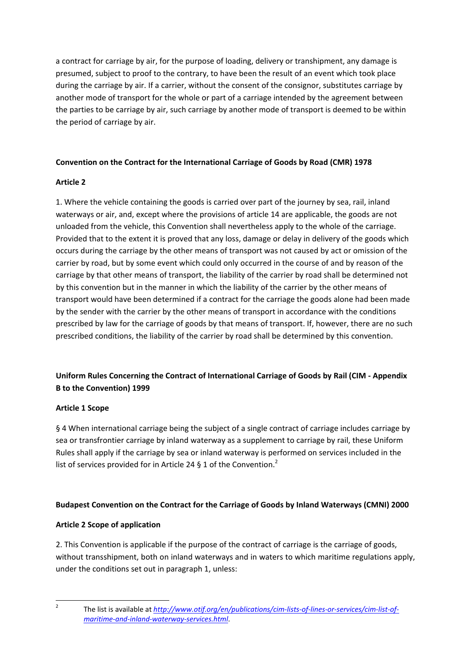a contract for carriage by air, for the purpose of loading, delivery or transhipment, any damage is presumed, subject to proof to the contrary, to have been the result of an event which took place during the carriage by air. If a carrier, without the consent of the consignor, substitutes carriage by another mode of transport for the whole or part of a carriage intended by the agreement between the parties to be carriage by air, such carriage by another mode of transport is deemed to be within the period of carriage by air.

## **Convention on the Contract for the International Carriage of Goods by Road (CMR) 1978**

## **Article 2**

1. Where the vehicle containing the goods is carried over part of the journey by sea, rail, inland waterways or air, and, except where the provisions of article 14 are applicable, the goods are not unloaded from the vehicle, this Convention shall nevertheless apply to the whole of the carriage. Provided that to the extent it is proved that any loss, damage or delay in delivery of the goods which occurs during the carriage by the other means of transport was not caused by act or omission of the carrier by road, but by some event which could only occurred in the course of and by reason of the carriage by that other means of transport, the liability of the carrier by road shall be determined not by this convention but in the manner in which the liability of the carrier by the other means of transport would have been determined if a contract for the carriage the goods alone had been made by the sender with the carrier by the other means of transport in accordance with the conditions prescribed by law for the carriage of goods by that means of transport. If, however, there are no such prescribed conditions, the liability of the carrier by road shall be determined by this convention.

# **Uniform Rules Concerning the Contract of International Carriage of Goods by Rail (CIM ‐ Appendix B to the Convention) 1999**

## **Article 1 Scope**

§ 4 When international carriage being the subject of a single contract of carriage includes carriage by sea or transfrontier carriage by inland waterway as a supplement to carriage by rail, these Uniform Rules shall apply if the carriage by sea or inland waterway is performed on services included in the list of services provided for in Article 24 § 1 of the Convention.<sup>2</sup>

# **Budapest Convention on the Contract for the Carriage of Goods by Inland Waterways (CMNI) 2000**

## **Article 2 Scope of application**

2. This Convention is applicable if the purpose of the contract of carriage is the carriage of goods, without transshipment, both on inland waterways and in waters to which maritime regulations apply, under the conditions set out in paragraph 1, unless:

 2

 The list is available at *http://www.otif.org/en/publications/cim‐lists‐of‐lines‐or‐services/cim‐list‐of‐ maritime‐and‐inland‐waterway‐services.html*.